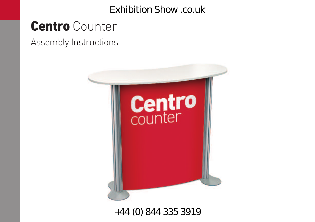# **Centro** Counter

Assembly Instructions



+44 (0) 844 335 3919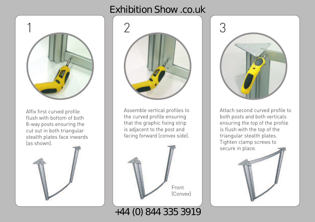

Affix first curved profile flush with bottom of both 8-way posts ensuring the cut out in both triangular stealth plates face inwards (as shown).





Assemble vertical profiles to the curved profile ensuring that the graphic fixing strip is adjacent to the post and facing forward (convex side).



+44 (0) 844 335 3919



Attach second curved profile to both posts and both verticals ensuring the top of the profile is flush with the top of the triangular stealth plates. Tighten clamp screws to secure in place.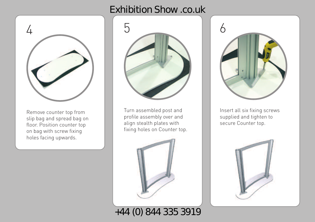

Remove counter top from slip bag and spread bag on floor. Position counter top on bag with screw fixing holes facing upwards.



Turn assembled post and profile assembly over and align stealth plates with fixing holes on Counter top.







Insert all six fixing screws supplied and tighten to secure Counter top.